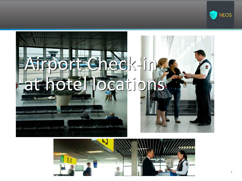



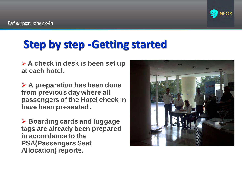

### **Step by step -Getting started**

➢ **A check in desk is been set up at each hotel.**

➢ **A preparation has been done from previous day where all passengers of the Hotel check in have been preseated .**

➢ **Boarding cards and luggage tags are already been prepared in accordance to the PSA(Passengers Seat Allocation) reports.**

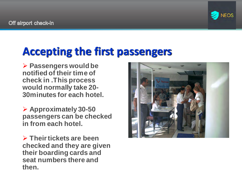

#### **Accepting the first passengers**

➢ **Passengers would be notified of their time of check in .This process would normally take 20- 30minutes for each hotel.**

➢ **Approximately 30-50 passengers can be checked in from each hotel.**

➢ **Their tickets are been checked and they are given their boarding cards and seat numbers there and then.**

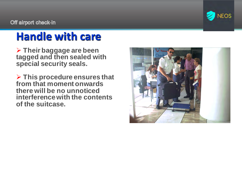

## **Handle with care**

➢ **Their baggage are been tagged and then sealed with special security seals.**

➢ **This procedure ensures that from that moment onwards there will be no unnoticed interference with the contents of the suitcase.**

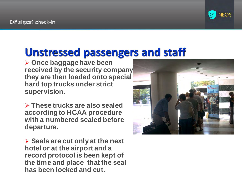#### **Unstressed passengers and staff**

➢ **Once baggage have been received by the security company they are then loaded onto special hard top trucks under strict supervision.**

➢ **These trucks are also sealed according to HCAA procedure with a numbered sealed before departure.**

➢ **Seals are cut only at the next hotel or at the airport and a record protocol is been kept of the time and place that the seal has been locked and cut.**

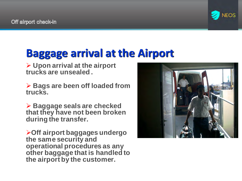

#### **Baggage arrival at the Airport**

➢ **Upon arrival at the airport trucks are unsealed .**

➢ **Bags are been off loaded from trucks.**

➢ **Baggage seals are checked that they have not been broken during the transfer.**

➢**Off airport baggages undergo the same security and operational procedures as any other baggage that is handled to the airport by the customer.**

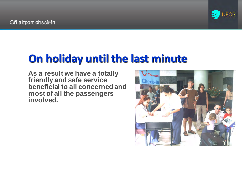

#### **On holiday until the last minute**

**As a result we have a totally friendly and safe service beneficial to all concerned and most of all the passengers involved.**

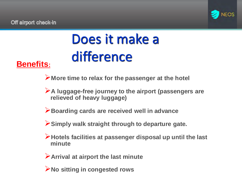

# Does it make a difference

#### **Benefits:**

➢**More time to relax for the passenger at the hotel**

➢**A luggage-free journey to the airport (passengers are relieved of heavy luggage)**

➢**Boarding cards are received well in advance** 

➢**Simply walk straight through to departure gate.**

➢**Hotels facilities at passenger disposal up until the last minute**

➢**Arrival at airport the last minute**

➢**No sitting in congested rows**